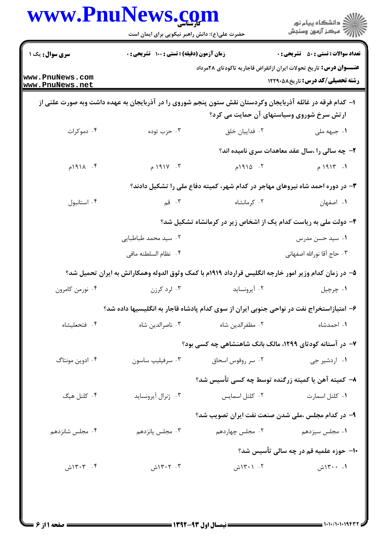| www.PnuNews.com                    |                                               |                                                                                                            | ڪ دانشڪاه پيام نور<br>۾ سرڪز آزمون وسنڊش                                                                              |
|------------------------------------|-----------------------------------------------|------------------------------------------------------------------------------------------------------------|-----------------------------------------------------------------------------------------------------------------------|
|                                    | حضرت علی(ع): دانش راهبر نیکویی برای ایمان است |                                                                                                            |                                                                                                                       |
| <b>سری سوال :</b> یک ۱             | زمان آزمون (دقیقه) : تستی : 100 تشریحی : 0    |                                                                                                            | <b>تعداد سوالات : تستي : 50 ٪ تشريحي : 0</b>                                                                          |
| www.PnuNews.com<br>www.PnuNews.net |                                               |                                                                                                            | <b>عنــــوان درس:</b> تاریخ تحولات ایران ازانقراض قاجاریه تاکودتای ۲۸مرداد<br><b>رشته تحصیلی/کد درس:</b> تاریخ5881211 |
|                                    |                                               | ۱– کدام فرقه در غائله آذربایجان وکردستان نقش ستون پنجم شوروی را در آذربایجان به عهده داشت وبه صورت علنی از | ارتش سرخ شوروی وسیاستهای آن حمایت می کرد؟                                                                             |
| ۰۴ دموکرات                         | ۰۳ حزب توده                                   | ۰۲ فداییان خلق                                                                                             | ۰۱ جبهه ملی                                                                                                           |
|                                    |                                               |                                                                                                            | ۲- چه سالی را ،سال عقد معاهدات سری نامیده اند؟                                                                        |
| ۰۴ $19114$                         | ۰۳ $Y \cap P$ ۱۹۱۷ م                          | $1910 - 5$                                                                                                 | 19117.1                                                                                                               |
|                                    |                                               | ۳- در دوره احمد شاه نیروهای مهاجر در کدام شهر، کمیته دفاع ملی را تشکیل دادند؟                              |                                                                                                                       |
| ۰۴ استانبول                        | . $\mathbf{r}$ قم                             | ۰۲ کرمانشاه                                                                                                | ٠١. اصفهان                                                                                                            |
|                                    |                                               | ۴- دولت ملی به ریاست کدام یک از اشخاص زیر در کرمانشاه تشکیل شد؟                                            |                                                                                                                       |
|                                    | ۰۲ سید محمد طباطبایی                          |                                                                                                            | ۰۱ سید حسن مدرس                                                                                                       |
|                                    | ۰۴ نظام السلطنه مافى                          |                                                                                                            | ٠٣ حاج آقا نورالله اصفهاني                                                                                            |
|                                    |                                               | ۵– در زمان کدام وزیر امور خارجه انگلیس قرارداد ۱۹۱۹م با کمک وثوق الدوله وهمکارانش به ایران تحمیل شد؟       |                                                                                                                       |
| ۰۴ نورمن کامرون                    | ۰۳ لره کرزن                                   | ۰۲ آیرونساید                                                                                               | ۰۱ چرچيل                                                                                                              |
|                                    |                                               | ۶– امتیازاستخراج نفت در نواحی جنوبی ایران از سوی کدام پادشاه قاجار به انگلیسیها داده شد؟                   |                                                                                                                       |
| ۰۴ فتحعليشاه                       | ۰۳ ناصرالدين شاه                              | ۰۲ مظفرالدین شاه                                                                                           | ۰۱ احمدشاه                                                                                                            |
|                                    |                                               | ۷- در آستانه کودتای ۱۲۹۹، مالک بانک شاهنشاهی چه کسی بود؟                                                   |                                                                                                                       |
| ۰۴ ادوین مونتاگ                    | ۰۳ سرفیلیپ ساسون                              | ۰۲ سر روفوس اسحاق                                                                                          | ۰۱ اردشیر جی                                                                                                          |
|                                    |                                               | ٨– كميته آهن يا كميته زرگنده توسط چه كسى تأسيس شد؟                                                         |                                                                                                                       |
| ۰۴ کلنل هیگ                        | ۰۳ ژنرال آيرونسايد                            | ٠٢ كلنل اسمايس                                                                                             | ٠١ كلنل اسمارت                                                                                                        |
|                                    |                                               | ۹- در کدام مجلس ،ملی شدن صنعت نفت ایران تصویب شد؟                                                          |                                                                                                                       |
| ۰۴ مجلس شانزدهم                    | ۰۳ مجلس پانزدهم                               | ۰۲ مجلس چهاردهم                                                                                            | ۰۱ مجلس سیزدهم                                                                                                        |
|                                    |                                               |                                                                                                            | ۱۰– حوزه علمیه قم در چه سالی تأسیس شد؟                                                                                |
| ۰۴ ۱۳۰۳ش                           | ۰۳ - ۱۳۰۲ش                                    | ۰۲ ۱۳۰۱ش                                                                                                   | ۰. ۱۳۰۰ش                                                                                                              |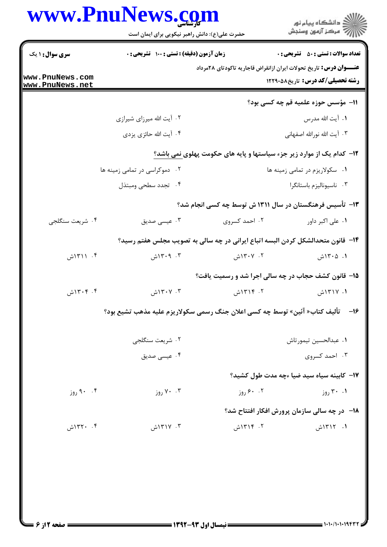|                                    | www.PnuNews.com<br>حضرت علی(ع): دانش راهبر نیکویی برای ایمان است                   |               | ِ<br>∭ دانشڪاه پيام نور<br>∭ مرڪز آزمون وسنڊش                                                                        |
|------------------------------------|------------------------------------------------------------------------------------|---------------|----------------------------------------------------------------------------------------------------------------------|
| <b>سری سوال : ۱ یک</b>             | <b>زمان آزمون (دقیقه) : تستی : 100 تشریحی : 0</b>                                  |               | <b>تعداد سوالات : تستی : 50 ٪ تشریحی : 0</b>                                                                         |
| www.PnuNews.com<br>www.PnuNews.net |                                                                                    |               | <b>عنــــوان درس:</b> تاریخ تحولات ایران ازانقراض قاجاریه تاکودتای ۲۸مرداد<br><b>رشته تحصیلی/کد درس:</b> تاریخ581291 |
|                                    |                                                                                    |               | 11- مؤسس حوزه علمیه قم چه کسی بود؟                                                                                   |
|                                    | ۰۲ آیت الله میرزای شیرازی                                                          |               | ۰۱ آيت الله مدرس                                                                                                     |
|                                    | ۰۴ آیت الله حائزی یزدی                                                             |               | ۰۳ آیت الله نورالله اصفهانی                                                                                          |
|                                    |                                                                                    |               | <b>۱۲</b> - کدام یک از موارد زیر جزء سیاستها و پایه های حکومت پهلوی نمی باشد؟                                        |
|                                    | ۰۲ دموکراسی در تمامی زمینه ها                                                      |               | ۰۱ سکولاریزم در تمامی زمینه ها                                                                                       |
|                                    | ۰۴ تجدد سطحي ومبتذل                                                                |               | ۰۳ ناسیونالیزم باستانگرا                                                                                             |
|                                    |                                                                                    |               | ۱۳- تأسیس فرهنگستان در سال ۱۳۱۱ ش توسط چه کسی انجام شد؟                                                              |
| ۰۴ شریعت سنگلجي                    | ۰۳ عیسی صدیق                                                                       | ۰۲ احمد کسروی | ۰۱ علی اکبر داور                                                                                                     |
|                                    | ۱۴– قانون متحدالشکل کردن البسه اتباع ایرانی در چه سالی به تصویب مجلس هفتم رسید؟    |               |                                                                                                                      |
| ۰۴ (۱۳۱۱ش                          | ۰۳ ۱۳۰۹ش                                                                           | ۰۲ ۱۳۰۷ش      | ۰۱. ۱۳۰۵ش                                                                                                            |
|                                    |                                                                                    |               | ۱۵- قانون کشف حجاب در چه سالی اجرا شد و رسمیت یافت؟                                                                  |
| ۰۴ آش                              | ۰۳ ۱۳۰۷ش                                                                           | ۲. ۱۳۱۴ش      | ۰۱. ۱۳۱۷ش                                                                                                            |
|                                    | ۱۶−     تأليف كتاب« آئين» توسط چه كسي اعلان جنگ رسمي سكولاريزم عليه مذهب تشيع بود؟ |               |                                                                                                                      |
|                                    | ۰۲ شریعت سنگلجی                                                                    |               | ٠١. عبدالحسين تيمورتاش                                                                                               |
|                                    | ۰۴ عیسی صدیق                                                                       |               | ۰۳ احمد کسروی                                                                                                        |
|                                    |                                                                                    |               | ۱۷– کابینه سیاه سید ضیا ءچه مدت طول کشید؟                                                                            |
| ۰۴ روز                             | ۰۰ ۷۰ روز                                                                          | ۰. ۶۰ روز     | ۰۱ ۳۰ روز                                                                                                            |
|                                    |                                                                                    |               | <b>۱۸</b> - در چه سالی سازمان پرورش افکار افتتاح شد؟                                                                 |
| ۰۴ ۱۳۲۰ش                           | ۰۳ ۱۳۱۷ش                                                                           | ۲. ۱۳۱۴ش      | ۱. ۱۳۱۲ش                                                                                                             |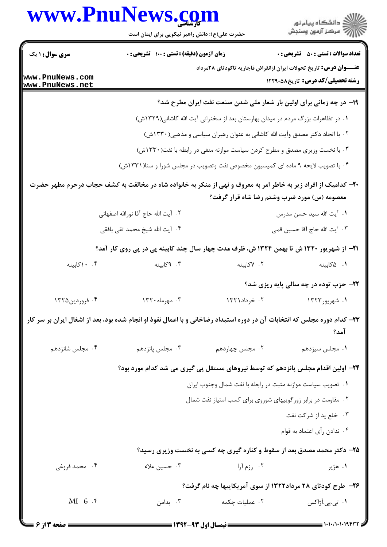| www.PnuNews.com |  |
|-----------------|--|
|-----------------|--|



حضرت علی(ع): دانش راهبر نیکویی برای ایمان است

| <b>سری سوال : ۱ یک</b>             | <b>زمان آزمون (دقیقه) : تستی : 100 تشریحی : 0</b>                                                                        |                                                                                 | <b>تعداد سوالات : تستي : 50 ٪ تشريحي : 0</b>                                    |
|------------------------------------|--------------------------------------------------------------------------------------------------------------------------|---------------------------------------------------------------------------------|---------------------------------------------------------------------------------|
|                                    |                                                                                                                          |                                                                                 | <b>عنــــوان درس:</b> تاریخ تحولات ایران ازانقراض قاجاریه تاکودتای ۲۸مرداد      |
| www.PnuNews.com<br>www.PnuNews.net |                                                                                                                          |                                                                                 | <b>رشته تحصیلی/کد درس:</b> تاریخ581291 12                                       |
|                                    |                                                                                                                          |                                                                                 | ۱۹- در چه زمانی برای اولین بار شعار ملی شدن صنعت نفت ایران مطرح شد؟             |
|                                    |                                                                                                                          | ۰۱ در تظاهرات بزرگ مردم در میدان بهارستان بعد از سخنرانی آیت الله کاشانی(۱۳۲۹ش) |                                                                                 |
|                                    |                                                                                                                          | ۰۲ با اتحاد دکتر مصدق وآیت الله کاشانی به عنوان رهبران سیاسی و مذهبی(۱۳۳۰ش)     |                                                                                 |
|                                    |                                                                                                                          | ۰۳ با نخست وزیری مصدق و مطرح کردن سیاست موازنه منفی در رابطه با نفت(۱۳۳۰ش)      |                                                                                 |
|                                    |                                                                                                                          | ۰۴ با تصویب لایحه ۹ ماده ای کمیسیون مخصوص نفت وتصویب در مجلس شورا و سنا(۱۳۳۱ش)  |                                                                                 |
|                                    | +۲- کدامیک از افراد زیر به خاطر امر به معروف و نهی از منکر به خانواده شاه در مخالفت به کشف حجاب درحرم مطهر حضرت          |                                                                                 |                                                                                 |
|                                    |                                                                                                                          |                                                                                 | معصومه (س) مورد ضرب وشتم رضا شاه قرار گرفت؟                                     |
|                                    |                                                                                                                          |                                                                                 | ۰۱ آیت الله سید حسن مدرس                                                        |
|                                    | ۴.  آیت الله شیخ محمد تقی بافقی                                                                                          |                                                                                 | ٣.  آیت الله حاج آقا حسین قمی                                                   |
|                                    | <b>۲۱</b> – از شهریور ۱۳۲۰ ش تا بهمن ۱۳۲۴ ش، ظرف مدت چهار سال چند کابینه پی در پی روی کار آمد؟                           |                                                                                 |                                                                                 |
| ۰.۴ ۱۰کابینه                       | ۰۳ کابینه                                                                                                                | ۰۲ کابینه                                                                       | ۰۱ ۵ کابینه                                                                     |
|                                    |                                                                                                                          |                                                                                 | <b>۲۲- حزب توده در چه سالی پایه ریزی شد؟</b>                                    |
| ۰۴ فروردين۱۳۲۵                     | ۰۳ مهرماه ۱۳۲۰                                                                                                           | ۰۲ خرداد۱۳۲۱                                                                    | ۱. شهريور۱۳۲۳                                                                   |
|                                    | ۲۳– کدام دوره مجلس که انتخابات آن در دوره استبداد رضاخانی و با اعمال نفوذ او انجام شده بود، بعد از اشغال ایران بر سر کار |                                                                                 | آمد؟                                                                            |
| ۰۴ مجلس شانزدهم                    | ۰۳ مجلس پانزدهم                                                                                                          | ۰۲ مجلس چهاردهم                                                                 | ۰۱ مجلس سيزدهم                                                                  |
|                                    |                                                                                                                          |                                                                                 | ۲۴– اولین اقدام مجلس پانزدهم که توسط نیروهای مستقل پی گیری می شد کدام مورد بود؟ |
|                                    |                                                                                                                          | ٠١ تصويب سياست موازنه مثبت در رابطه با نفت شمال وجنوب ايران                     |                                                                                 |
|                                    |                                                                                                                          | ۰۲ مقاومت در برابر زور گوییهای شوروی برای کسب امتیاز نفت شمال                   |                                                                                 |
|                                    |                                                                                                                          |                                                                                 | ۰۳ خلع يد از شركت نفت                                                           |
|                                    |                                                                                                                          |                                                                                 | ۰۴ ندادن رأى اعتماد به قوام                                                     |
|                                    |                                                                                                                          |                                                                                 | <b>۲۵</b> - دکتر محمد مصدق بعد از سقوط و کناره گیری چه کسی به نخست وزیری رسید؟  |
| ۰۴ محمد فروغی                      | ۰۳ حسین علاء                                                                                                             | ۰۲ رزم آرا                                                                      | ۰۱ هژير                                                                         |
|                                    |                                                                                                                          |                                                                                 | ۲۶- طرح کودتای ۲۸ مرداد۱۳۲۲ از سوی آمریکاییها چه نام گرفت؟                      |
| $MI_6.$                            | ۰۳ بدامن                                                                                                                 | ٠٢ عمليات چكمه                                                                  | ۰۱ تی.پی.آژاکس                                                                  |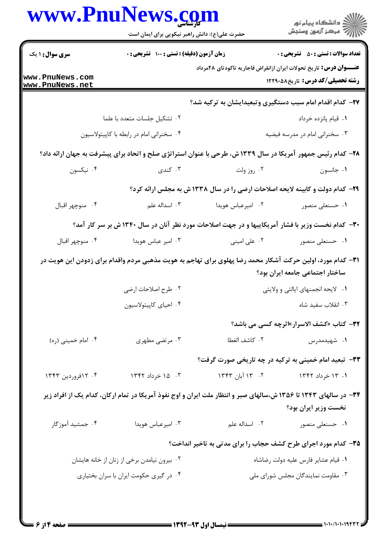|                                    | حضرت علی(ع): دانش راهبر نیکویی برای ایمان است                                                                    |                                                                               | ِ<br>∭ دانشڪاه پيام نور<br>∭ مرڪز آزمون وسنڊش |
|------------------------------------|------------------------------------------------------------------------------------------------------------------|-------------------------------------------------------------------------------|-----------------------------------------------|
| <b>سری سوال :</b> ۱ یک             | زمان آزمون (دقیقه) : تستی : ۱۰۰ تشریحی : ۰                                                                       |                                                                               | <b>تعداد سوالات : تستي : 50 ٪ تشريحي : 0</b>  |
| www.PnuNews.com<br>www.PnuNews.net |                                                                                                                  | <b>عنــــوان درس:</b> تاریخ تحولات ایران ازانقراض قاجاریه تاکودتای ۲۸مرداد    | <b>رشته تحصیلی/کد درس:</b> تاریخ5881211       |
|                                    |                                                                                                                  | ۲۷- کدام اقدام امام سبب دستگیری وتبعیدایشان به ترکیه شد؟                      |                                               |
|                                    | ٠٢ تشكيل جلسات متعدد با علما                                                                                     |                                                                               | ٠١ قيام پانزده خرداد                          |
|                                    | ۰۴ سخنرانی امام در رابطه با کاپیتولاسیون                                                                         |                                                                               | ۰۳ سخنرانی امام در مدرسه فیضیه                |
|                                    | ۲۸- کدام رئیس جمهور آمریکا در سال ۱۳۳۹ ش، طرحی با عنوان استراتژی صلح و اتحاد برای پیشرفت به جهان ارائه داد؟      |                                                                               |                                               |
| ۰۴ نیکسون                          | ۰۳ کندی                                                                                                          | ۰۲ روز ولت                                                                    | ٠١. جانسون                                    |
|                                    |                                                                                                                  | ۲۹- کدام دولت و کابینه لایحه اصلاحات ارضی را در سال ۱۳۳۸ ش به مجلس ارائه کرد؟ |                                               |
| ۰۴ منوچهر اقبال                    | ۰۳ اسداله علم                                                                                                    | ۰۲ امیرعباس هویدا                                                             | ۰۱ حسنعلی منصور                               |
|                                    | ۳۰- کدام نخست وزیر با فشار آمریکاییها و در جهت اصلاحات مورد نظر آنان در سال ۱۳۴۰ ش بر سر کار آمد؟                |                                                                               |                                               |
| ۰۴ منوچهر اقبال                    | ۰۳ امیر عباس هویدا                                                                                               | ۰۲ علی امینی                                                                  | ۰۱ حسنعلی منصور                               |
|                                    | ۳۱— کدام مورد، اولین حرکت آشکار محمد رضا پهلوی برای تهاجم به هویت مذهبی مردم واقدام برای زدودن این هویت در       |                                                                               | ساختار اجتماعی جامعه ایران بود؟               |
|                                    | ٢. طرح اصلاحات ارضى                                                                                              |                                                                               | ٠١ لايحه انجمنهاي ايالتي و ولايتي             |
|                                    | ۰۴ احیای کاپیتولاسیون                                                                                            |                                                                               | ۰۳ انقلاب سفید شاه                            |
|                                    |                                                                                                                  |                                                                               | 32- كتاب «كشف الاسرار»اثرچه كسي مي باشد؟      |
| ۰۴ امام خميني (ره)                 | ۰۳ مرتضى مطهرى                                                                                                   | ٢. كاشف الغطا                                                                 | ۰۱ شهیدمدرس                                   |
|                                    |                                                                                                                  | ۳۳- تبعید امام خمینی به ترکیه در چه تاریخی صورت گرفت؟                         |                                               |
| ۰۴ ۱۳۴۳ نورودین ۱۳۴۳               | ۰۳ . ۱۵ خرداد ۱۳۴۲                                                                                               | ۰۲ - ۱۳ آبان ۱۳۴۳                                                             | ۱. ۱۳ خرداد ۱۳۴۲                              |
|                                    | ۳۴- در سالهای ۱۳۴۳ تا ۱۳۵۶ ش،سالهای صبر و انتظار ملت ایران و اوج نفوذ آمریکا در تمام ارکان، کدام یک از افراد زیر |                                                                               | نخست وزير ايران بود؟                          |
| ۰۴ جمشید آموزگار                   | ۰۳ امیرعباس هویدا                                                                                                | ۰۲ اسداله علم                                                                 | ۰۱ حسنعلی منصور                               |
|                                    |                                                                                                                  | ۳۵- کدام مورد اجرای طرح کشف حجاب را برای مدتی به تاخیر انداخت؟                |                                               |
|                                    | ۰۲ بیرون نیامدن برخی از زنان از خانه هایشان                                                                      |                                                                               | ٠١ قيام عشاير فارس عليه دولت رضاشاه           |
|                                    | ۰۴ در گیری حکومت ایران با سران بختیاری                                                                           |                                                                               | ۰۳ مقاومت نمایندگان مجلس شورای ملی            |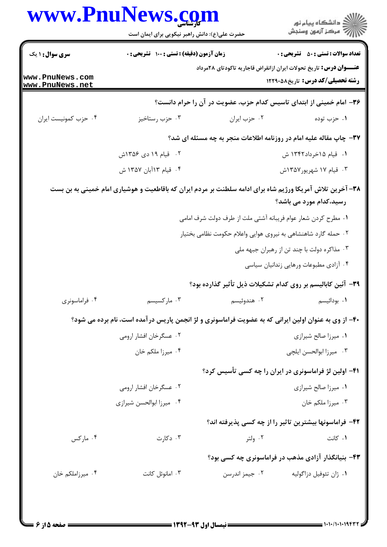|                                    | www.PnuNews.com<br>حضرت علی(ع): دانش راهبر نیکویی برای ایمان است                                          |                                                                    | ڪ دانشڪاه پيا <sub>م</sub> نور<br>ر <i>7</i> 5 مرڪز آزمون وسنڊش                                                |
|------------------------------------|-----------------------------------------------------------------------------------------------------------|--------------------------------------------------------------------|----------------------------------------------------------------------------------------------------------------|
| <b>سری سوال : ۱ یک</b>             | زمان آزمون (دقیقه) : تستی : 100 تشریحی : 0                                                                |                                                                    | <b>تعداد سوالات : تستي : 50 ٪ تشريحي : 0</b>                                                                   |
| www.PnuNews.com<br>www.PnuNews.net |                                                                                                           |                                                                    | <b>عنــــوان درس:</b> تاریخ تحولات ایران ازانقراض قاجاریه تاکودتای ۲۸مرداد<br>رشته تحصیلی/کد درس: تاریخ5881211 |
|                                    |                                                                                                           |                                                                    | ۳۶- امام خمینی از ابتدای تاسیس کدام حزب، عضویت در آن را حرام دانست؟                                            |
| ۰۴ حزب كمونيست ايران               | ۰۳ حزب رستاخيز                                                                                            | ٠٢ حزب ايران                                                       | ۰۱ حزب توده                                                                                                    |
|                                    |                                                                                                           | ۳۷- چاپ مقاله علیه امام در روزنامه اطلاعات منجر به چه مسئله ای شد؟ |                                                                                                                |
|                                    | ۰۲ قیام ۱۹ دی ۱۳۵۶ش                                                                                       |                                                                    | ۰۱ قیام ۱۵خرداد۱۳۴۲ ش                                                                                          |
|                                    | ۰۴ قیام ۱۳۵۲ ش                                                                                            |                                                                    | ۰۳ قیام ۱۷ شهریور۱۳۵۷ش                                                                                         |
|                                    | ۳۸– آخرین تلاش آمریکا ورژیم شاه برای ادامه سلطنت بر مردم ایران که باقاطعیت و هوشیاری امام خمینی به بن بست |                                                                    | رسید،کدام مورد می باشد؟                                                                                        |
|                                    |                                                                                                           | ٠١ مطرح كردن شعار عوام فريبانه آشتي ملت از طرف دولت شرف امامي      |                                                                                                                |
|                                    |                                                                                                           | ۰۲ حمله گارد شاهنشاهی به نیروی هوایی واعلام حکومت نظامی بختیار     |                                                                                                                |
|                                    |                                                                                                           |                                                                    | ۰۳ مذاکره دولت با چند تن از رهبران جبهه ملی                                                                    |
|                                    |                                                                                                           |                                                                    | ۰۴ آزادی مطبوعات ورهایی زندانیان سیاسی                                                                         |
|                                    |                                                                                                           | ۳۹- آئین کابالیسم بر روی کدام تشکیلات ذیل تأثیر گذارده بود؟        |                                                                                                                |
| ۰۴ فراماسونری                      | ۰۳ مارکسیسم                                                                                               | ۰۲ هندوئیسم                                                        | ۰۱ بودائیسم                                                                                                    |
|                                    | ۴۰- از وی به عنوان اولین ایرانی که به عضویت فراماسونری و لژ انجمن پاریس درآمده است، نام برده می شود؟      |                                                                    |                                                                                                                |
|                                    | ۰۲ عسگرخان افشار ارومي                                                                                    |                                                                    | ٠١ ميرزا صالح شيرازي                                                                                           |
|                                    | ۰۴ میرزا ملکم خان                                                                                         |                                                                    | ۰۳ میرزا ابوالحسن ایلچی                                                                                        |
|                                    |                                                                                                           | ۴۱– اولین لژ فراماسونری در ایران را چه کسی تأسیس کرد؟              |                                                                                                                |
|                                    | ۰۲ عسگرخان افشار ارومي                                                                                    |                                                                    | ٠١ ميرزا صالح شيرازي                                                                                           |
|                                    | ۰۴ میرزا ابوالحسن شیرازی                                                                                  |                                                                    | ۰۳ میرزا ملکم خان                                                                                              |
|                                    |                                                                                                           |                                                                    | ۴۲- فراماسونها بیشترین تاثیر را از چه کسی پذیرفته اند؟                                                         |
| ۰۴ مارکس                           | ۰۳ دکارت                                                                                                  | ۰۲ ولتر                                                            | ۰۱ کانت                                                                                                        |
|                                    |                                                                                                           |                                                                    | ۴۳- بنیانگذار آزادی مذهب در فراماسونری چه کسی بود؟                                                             |
| ۰۴ میرزاملکم خان                   | ۰۳ امانوئل کانت                                                                                           | ۰۲ جیمز اندرسن                                                     | ۰۱ ژان تئوفیل دزاگولیه                                                                                         |